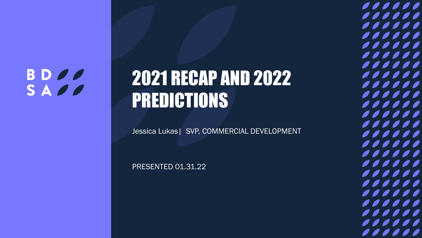## **BDOO** SADO

# 2021 RECAP AND 2022 PREDICTIONS

Jessica Lukas| SVP, COMMERCIAL DEVELOPMENT

PRESENTED 01.31.22

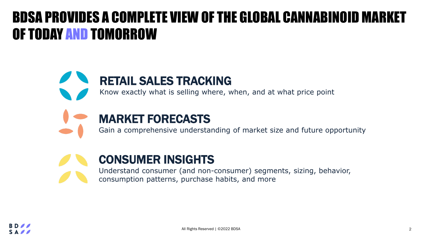## BDSA PROVIDES A COMPLETE VIEW OF THE GLOBAL CANNABINOID MARKET OF TODAY AND TOMORROW

## RETAIL SALES TRACKING

Know exactly what is selling where, when, and at what price point



### MARKET FORECASTS

Gain a comprehensive understanding of market size and future opportunity



### CONSUMER INSIGHTS

Understand consumer (and non-consumer) segments, sizing, behavior, consumption patterns, purchase habits, and more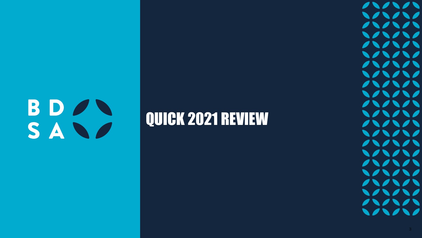# BDAN SAND

## QUICK 2021 REVIEW

111111  $111111$ 111111  $\bigvee\bigvee\bigvee\bigvee\bigvee$ 11111  $\bigvee\bigwedge\bigwedge\bigwedge\bigwedge\bigwedge$  $\sqrt{11111}$  $\bigvee\bigwedge\bigwedge\bigwedge\bigwedge\bigwedge\bigwedge$ 111111  $\bigvee\bigwedge\bigwedge\bigwedge\bigwedge\bigwedge$ 111111 111111  $\sqrt{11111}$  $\bigvee\bigwedge\bigwedge\bigwedge\bigwedge\bigwedge$ 111111 111111 111111  $\bigvee\bigvee\bigvee\bigvee\bigvee$  $\sqrt{22222}$  $\bigvee\bigwedge\bigwedge\bigwedge\bigwedge\bigwedge$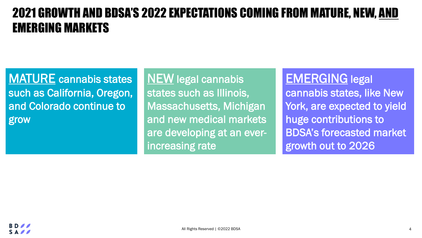## 2021 GROWTH AND BDSA'S 2022 EXPECTATIONS COMING FROM MATURE, NEW, AND EMERGING MARKETS

MATURE cannabis states such as California, Oregon, and Colorado continue to grow

**NEW** legal cannabis states such as Illinois, Massachusetts, Michigan and new medical markets are developing at an everincreasing rate

EMERGING legal cannabis states, like New York, are expected to yield huge contributions to BDSA's forecasted market growth out to 2026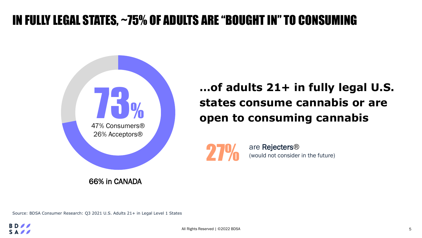## IN FULLY LEGAL STATES, ~75% OF ADULTS ARE "BOUGHT IN" TO CONSUMING



66% in CANADA

**…of adults 21+ in fully legal U.S. states consume cannabis or are open to consuming cannabis**



are Rejecters® (would not consider in the future)

Source: BDSA Consumer Research: Q3 2021 U.S. Adults 21+ in Legal Level 1 States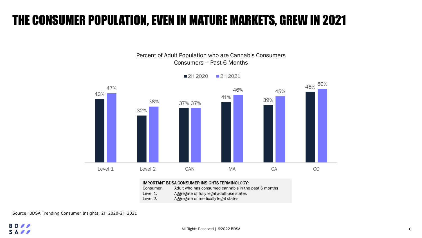## THE CONSUMER POPULATION, EVEN IN MATURE MARKETS, GREW IN 2021

43% 32% 37% 38% 37% 41% 39%  $47\%$   $46\%$   $46\%$   $48\%$ 46% 45% 50% Level 1 Level 2 CAN MA CA CO

2H 2020 2H 2021

Percent of Adult Population who are Cannabis Consumers Consumers = Past 6 Months

#### IMPORTANT BDSA CONSUMER INSIGHTS TERMINOLOGY:

Consumer: Adult who has consumed cannabis in the past 6 months Level 1: Aggregate of fully legal adult-use states Level 2: Aggregate of medically legal states

Source: BDSA Trending Consumer Insights, 2H 2020-2H 2021

#### **BD**  $S A \times$

All Rights Reserved | ©2022 BDSA 6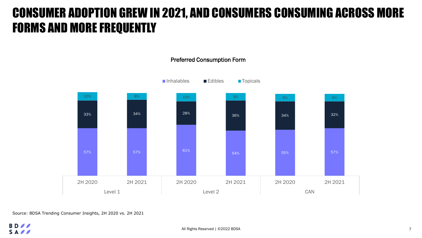## CONSUMER ADOPTION GREW IN 2021, AND CONSUMERS CONSUMING ACROSS MORE FORMS AND MORE FREQUENTLY

57% 57% 61% 54% 55% 57% 33% 33% 34% 34% 36% 36% 36% 36% 34% 34% 34% 32%  $10\%$  8% 8% 10% 10% 9% 9% 9% 9% 9% 9% 9% 9% 9% 2H 2020 2H 2021 2H 2020 2H 2021 2H 2020 2H 2021 Level 1 Level 2 CAN ■Inhalables ■Edibles ■Topicals

#### Preferred Consumption Form

Source: BDSA Trending Consumer Insights, 2H 2020 vs. 2H 2021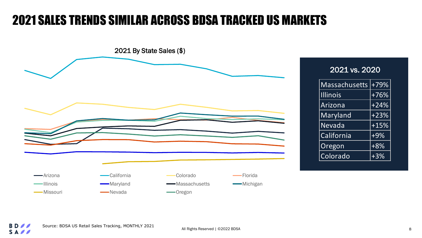## 2021 SALES TRENDS SIMILAR ACROSS BDSA TRACKED US MARKETS



#### 2021 vs. 2020

| <b>Massachusetts</b> | +79%     |  |
|----------------------|----------|--|
| <b>Illinois</b>      | $+76%$   |  |
| Arizona              | $+24%$   |  |
| Maryland             | $+23%$   |  |
| Nevada               | $ +15\%$ |  |
| California           | $+9%$    |  |
| Oregon               | $+8%$    |  |
| Colorado             | $+3%$    |  |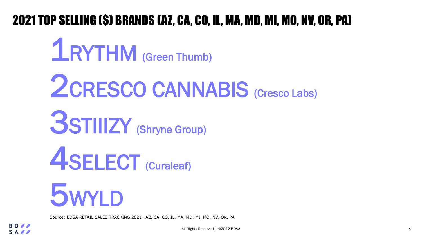## 2021 TOP SELLING (\$) BRANDS (AZ, CA, CO, IL, MA, MD, MI, MO, NV, OR, PA)

5WYLD 1RYTHM (Green Thumb) 2CRESCO CANNABIS (Cresco Labs) 3STIIIZY (Shryne Group) ASELECT (Curaleaf)

Source: BDSA RETAIL SALES TRACKING 2021—AZ, CA, CO, IL, MA, MD, MI, MO, NV, OR, PA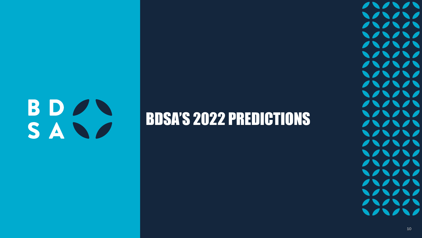# BDAN SAND

## BDSA'S 2022 PREDICTIONS

 $\sqrt{2}$  $\blacksquare$  $111111$  $\bigvee\bigvee\bigvee\bigvee\bigvee$ 11111  $\bigvee\bigvee\bigvee\bigvee\bigvee$ 11111  $\bigvee\bigvee\bigvee\bigvee\bigvee$ 111111  $\bigvee\bigvee\bigvee\bigvee\bigvee$ 111111  $\bigvee\bigvee\bigvee\bigvee\bigvee$  $\sqrt{10111}$  $\bigvee\bigvee\bigvee\bigvee\bigvee$  $\sqrt{10111}$ 111111 11111 111111 111111 111111  $\sqrt{11111}$  $\bigvee\bigvee\bigvee\bigvee\bigvee$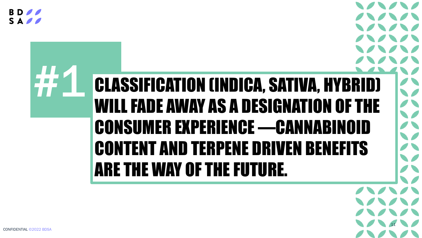SA<sub>0</sub>

# **CLASSIFICATION (INDICA, SATIVA, HYBRID)** WILL FADE AWAY AS A DESIGNATION OF THE CONSUMER EXPERIENCE —CANNABINOID CONTENT AND TERPENE DRIVEN BENEFITS ARE THE WAY OF THE FUTURE.

11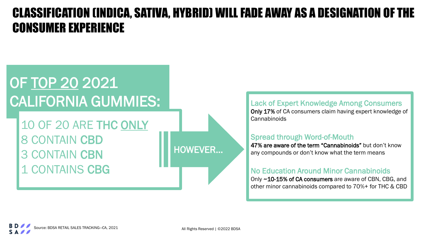## CLASSIFICATION (INDICA, SATIVA, HYBRID) WILL FADE AWAY AS A DESIGNATION OF THE CONSUMER EXPERIENCE

## OF TOP 20 2021 CALIFORNIA GUMMIES:

10 OF 20 ARE THC ONLY 8 CONTAIN CBD 3 CONTAIN CBN 1 CONTAINS CBG

HOWEVER…

Lack of Expert Knowledge Among Consumers Only 17% of CA consumers claim having expert knowledge of **Cannabinoids** 

#### Spread through Word-of-Mouth

47% are aware of the term "Cannabinoids" but don't know any compounds or don't know what the term means

#### No Education Around Minor Cannabinoids

Only ~10-15% of CA consumers are aware of CBN, CBG, and other minor cannabinoids compared to 70%+ for THC & CBD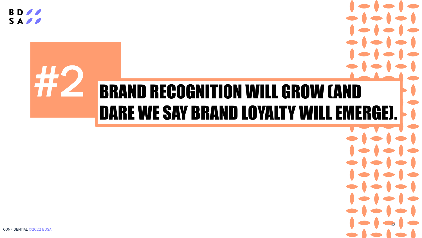**BD** SA<sub>0</sub>

# **BRAND RECOGNITION WILL GROW (AND** DARE WE SAY BRAND LOYALTY WILL EMERGE).

13

 $\bullet$ 

CONFIDENTIAL ©2022 BDSA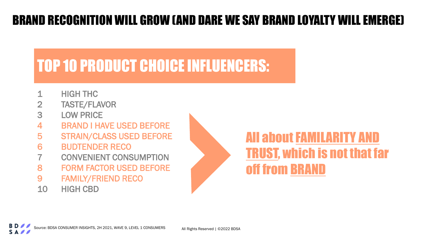## BRAND RECOGNITION WILL GROW (AND DARE WE SAY BRAND LOYALTY WILL EMERGE)

## TOP 10 PRODUCT CHOICE INFLUENCERS:

- 1 HIGH THC
- 2 TASTE/FLAVOR
- 3 LOW PRICE
- 4 BRAND I HAVE USED BEFORE
- 5 STRAIN/CLASS USED BEFORE
- 6 BUDTENDER RECO
- **CONVENIENT CONSUMPTION**
- 8 FORM FACTOR USED BEFORE
- 9 FAMILY/FRIEND RECO
- 10 HIGH CBD



## All about FAMILARITY AND TRUST, which is not that far off from BRAND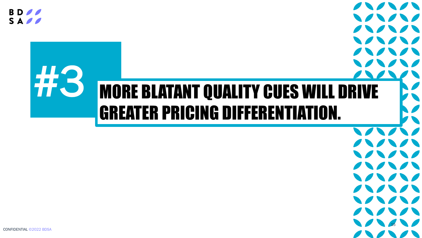**BD**  $S A \ell$ 

# MORE BLATANT QUALITY CUES WILL DRIVE GREATER PRICING DIFFERENTIATION.

 $\blacksquare$ 

 $\sqrt{2}$ 

 $\sqrt{2}$ 

 $\sqrt{2}$ 

 $\sqrt{2}$ 

WWW

 $\sqrt{2}$ 

 $\sqrt{2}$ 

WWW

 $\sqrt{2}$ 

 $\sqrt{2}$ 

 $\sqrt{2}$ 

WWW

 $\sqrt{2}$ 

CONFIDENTIAL ©2022 BDSA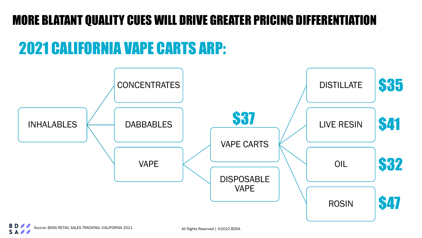## MORE BLATANT QUALITY CUES WILL DRIVE GREATER PRICING DIFFERENTIATION

## 2021 CALIFORNIA VAPE CARTS ARP:

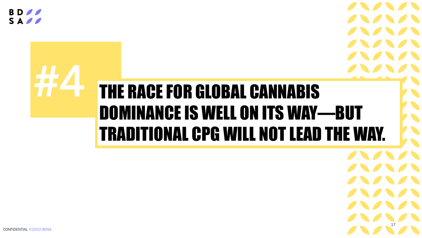**BD** SAPP

# **THE RACE FOR GLOBAL CANNABIS** DOMINANCE IS WELL ON ITS WAY—BUT TRADITIONAL CPG WILL NOT LEAD THE WAY.

17

CONFIDENTIAL ©2022 BDSA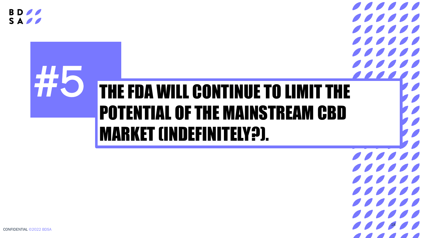**BD** SAPP

## THE FDA WILL CONTINUE TO LIMIT THE  $\bullet$   $\bullet$   $\bullet$ POTENTIAL OF THE MAINSTREAM CBD MARKET (INDEFINITELY?).

 $111111$  $\overline{\mathcal{O}}$  $\frac{1}{2}$  $\frac{1}{2}$  $\overline{\mathcal{L}}$  $\sqrt{10000}$  $\overline{\phantom{a}}$   $\overline{\phantom{a}}$   $\overline{\phantom{a}}$   $\overline{\phantom{a}}$   $\overline{\phantom{a}}$   $\overline{\phantom{a}}$   $\overline{\phantom{a}}$   $\overline{\phantom{a}}$   $\overline{\phantom{a}}$   $\overline{\phantom{a}}$   $\overline{\phantom{a}}$   $\overline{\phantom{a}}$   $\overline{\phantom{a}}$   $\overline{\phantom{a}}$   $\overline{\phantom{a}}$   $\overline{\phantom{a}}$   $\overline{\phantom{a}}$   $\overline{\phantom{a}}$   $\overline{\$ 

 $\overline{\mathcal{L}}$ 

 $\sqrt{11111}$ 

 $\sqrt{10000}$ 

 $\overline{\mathcal{L}}$ 

 $\sqrt{10000}$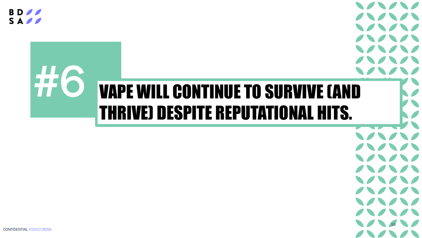**BD**  $S A \ell$ 

# **VAPE WILL CONTINUE TO SURVIVE (AND** THRIVE) DESPITE REPUTATIONAL HITS.

19

CONFIDENTIAL ©2022 BDSA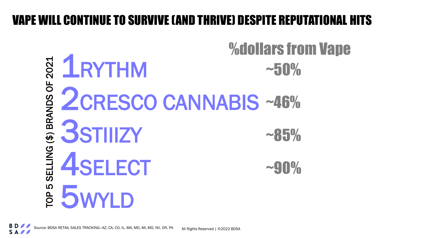## VAPE WILL CONTINUE TO SURVIVE (AND THRIVE) DESPITE REPUTATIONAL HITS

%dollars from Vape**ELAYTHM** TOP 5 SELLING (\$) BRANDS OF 2021  $~10\%$ SELLING (\$) BRANDS OF 2CRESCO CANNABIS ~46% **3STIIIZY**  $~85%$ 4SELECT  $~10\%$ **E 5WYLD**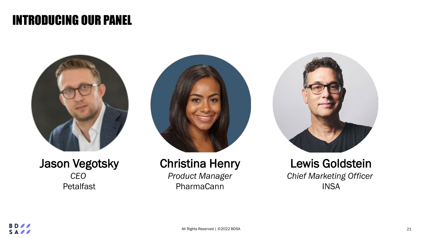## INTRODUCING OUR PANEL



#### Jason Vegotsky *CEO* Petalfast



## Christina Henry

*Product Manager* PharmaCann



#### Lewis Goldstein *Chief Marketing Officer* INSA